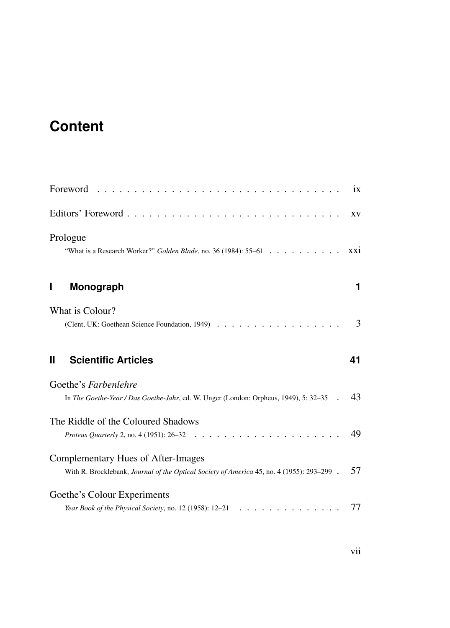## **Content**

| Foreword                                                                                                                         | ix  |
|----------------------------------------------------------------------------------------------------------------------------------|-----|
|                                                                                                                                  | XV  |
| Prologue<br>"What is a Research Worker?" Golden Blade, no. 36 (1984): 55-61                                                      | XX1 |
| Monograph<br>Ш                                                                                                                   | 1   |
| What is Colour?<br>(Clent, UK: Goethean Science Foundation, 1949)                                                                | 3   |
| <b>Scientific Articles</b><br>Ш                                                                                                  | 41  |
| Goethe's Farbenlehre<br>In The Goethe-Year / Das Goethe-Jahr, ed. W. Unger (London: Orpheus, 1949), 5: 32-35                     | 43  |
| The Riddle of the Coloured Shadows<br>.<br><i>Proteus Quarterly 2, no. 4 (1951): 26-32</i>                                       | 49  |
| Complementary Hues of After-Images<br>With R. Brocklebank, Journal of the Optical Society of America 45, no. 4 (1955): 293-299 . | 57  |
| Goethe's Colour Experiments<br>Year Book of the Physical Society, no. 12 (1958): 12–21                                           | 77  |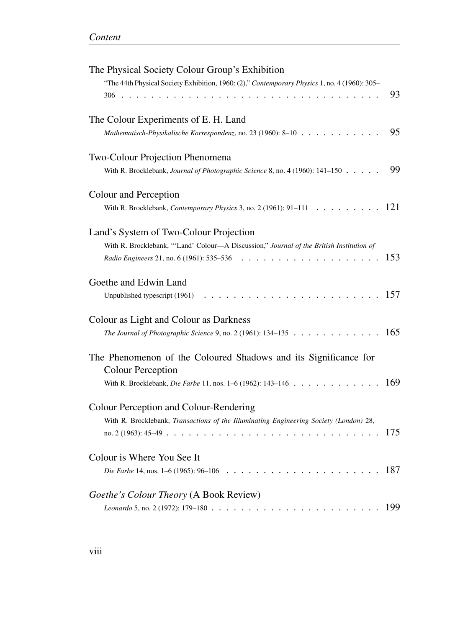| The Physical Society Colour Group's Exhibition                                                                                                  |     |
|-------------------------------------------------------------------------------------------------------------------------------------------------|-----|
| "The 44th Physical Society Exhibition, 1960: (2)," Contemporary Physics 1, no. 4 (1960): 305-<br>306                                            | 93  |
| The Colour Experiments of E. H. Land<br>Mathematisch-Physikalische Korrespondenz, no. 23 (1960): 8-10                                           | 95  |
| Two-Colour Projection Phenomena                                                                                                                 |     |
| With R. Brocklebank, Journal of Photographic Science 8, no. 4 (1960): 141-150                                                                   | 99  |
| Colour and Perception<br>With R. Brocklebank, <i>Contemporary Physics</i> 3, no. 2 (1961): 91–111<br>$\mathbf{r}$ . $\mathbf{r}$ . $\mathbf{r}$ | 121 |
| Land's System of Two-Colour Projection                                                                                                          |     |
| With R. Brocklebank, "'Land' Colour-A Discussion," Journal of the British Institution of<br>Radio Engineers 21, no. 6 (1961): 535-536           | 153 |
| Goethe and Edwin Land                                                                                                                           |     |
| Unpublished typescript (1961)                                                                                                                   | 157 |
| Colour as Light and Colour as Darkness                                                                                                          |     |
| The Journal of Photographic Science 9, no. 2 (1961): 134-135                                                                                    | 165 |
| The Phenomenon of the Coloured Shadows and its Significance for<br><b>Colour Perception</b>                                                     |     |
| With R. Brocklebank, Die Farbe 11, nos. 1-6 (1962): 143-146.                                                                                    | 169 |
| Colour Perception and Colour-Rendering                                                                                                          |     |
| With R. Brocklebank, Transactions of the Illuminating Engineering Society (London) 28,<br>no. $2(1963): 45-49$ .                                | 175 |
| Colour is Where You See It                                                                                                                      |     |
| Die Farbe 14, nos. 1-6 (1965): 96-106                                                                                                           | 187 |
| Goethe's Colour Theory (A Book Review)                                                                                                          |     |
| Leonardo 5, no. 2 (1972): 179-180<br>. The contract of the contract of the $\alpha$                                                             | 199 |